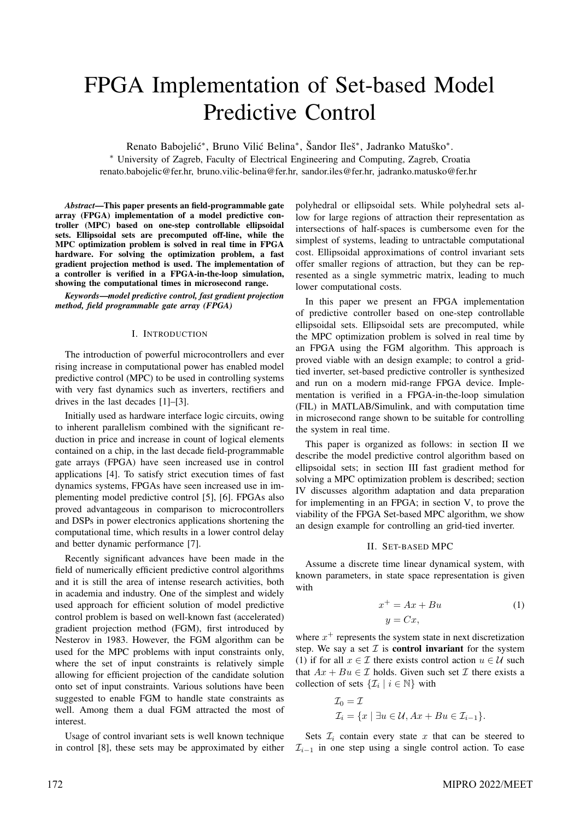# FPGA Implementation of Set-based Model Predictive Control

Renato Babojelić\*, Bruno Vilić Belina\*, Šandor Ileš\*, Jadranko Matuško\*.

*∗* University of Zagreb, Faculty of Electrical Engineering and Computing, Zagreb, Croatia

renato.babojelic@fer.hr, bruno.vilic-belina@fer.hr, sandor.iles@fer.hr, jadranko.matusko@fer.hr

*Abstract*—This paper presents an field-programmable gate array (FPGA) implementation of a model predictive controller (MPC) based on one-step controllable ellipsoidal sets. Ellipsoidal sets are precomputed off-line, while the MPC optimization problem is solved in real time in FPGA hardware. For solving the optimization problem, a fast gradient projection method is used. The implementation of a controller is verified in a FPGA-in-the-loop simulation, showing the computational times in microsecond range.

*Keywords*—*model predictive control, fast gradient projection method, field programmable gate array (FPGA)*

## I. INTRODUCTION

The introduction of powerful microcontrollers and ever rising increase in computational power has enabled model predictive control (MPC) to be used in controlling systems with very fast dynamics such as inverters, rectifiers and drives in the last decades [1]–[3].

Initially used as hardware interface logic circuits, owing to inherent parallelism combined with the significant reduction in price and increase in count of logical elements contained on a chip, in the last decade field-programmable gate arrays (FPGA) have seen increased use in control applications [4]. To satisfy strict execution times of fast dynamics systems, FPGAs have seen increased use in implementing model predictive control [5], [6]. FPGAs also proved advantageous in comparison to microcontrollers and DSPs in power electronics applications shortening the computational time, which results in a lower control delay and better dynamic performance [7].

Recently significant advances have been made in the field of numerically efficient predictive control algorithms and it is still the area of intense research activities, both in academia and industry. One of the simplest and widely used approach for efficient solution of model predictive control problem is based on well-known fast (accelerated) gradient projection method (FGM), first introduced by Nesterov in 1983. However, the FGM algorithm can be used for the MPC problems with input constraints only, where the set of input constraints is relatively simple allowing for efficient projection of the candidate solution onto set of input constraints. Various solutions have been suggested to enable FGM to handle state constraints as well. Among them a dual FGM attracted the most of interest.

Usage of control invariant sets is well known technique in control [8], these sets may be approximated by either polyhedral or ellipsoidal sets. While polyhedral sets allow for large regions of attraction their representation as intersections of half-spaces is cumbersome even for the simplest of systems, leading to untractable computational cost. Ellipsoidal approximations of control invariant sets offer smaller regions of attraction, but they can be represented as a single symmetric matrix, leading to much lower computational costs.

In this paper we present an FPGA implementation of predictive controller based on one-step controllable ellipsoidal sets. Ellipsoidal sets are precomputed, while the MPC optimization problem is solved in real time by an FPGA using the FGM algorithm. This approach is proved viable with an design example; to control a gridtied inverter, set-based predictive controller is synthesized and run on a modern mid-range FPGA device. Implementation is verified in a FPGA-in-the-loop simulation (FIL) in MATLAB/Simulink, and with computation time in microsecond range shown to be suitable for controlling the system in real time.

This paper is organized as follows: in section II we describe the model predictive control algorithm based on ellipsoidal sets; in section III fast gradient method for solving a MPC optimization problem is described; section IV discusses algorithm adaptation and data preparation for implementing in an FPGA; in section V, to prove the viability of the FPGA Set-based MPC algorithm, we show an design example for controlling an grid-tied inverter.

## II. SET-BASED MPC

Assume a discrete time linear dynamical system, with known parameters, in state space representation is given with

$$
x^{+} = Ax + Bu
$$
  
\n
$$
y = Cx,
$$
\n(1)

where  $x^+$  represents the system state in next discretization step. We say a set  $I$  is **control invariant** for the system (1) if for all  $x \in \mathcal{I}$  there exists control action  $u \in \mathcal{U}$  such that  $Ax + Bu \in \mathcal{I}$  holds. Given such set  $\mathcal{I}$  there exists a collection of sets  $\{\mathcal{I}_i \mid i \in \mathbb{N}\}\$  with

$$
\mathcal{I}_0 = \mathcal{I}
$$
  

$$
\mathcal{I}_i = \{x \mid \exists u \in \mathcal{U}, Ax + Bu \in \mathcal{I}_{i-1}\}.
$$

Sets  $\mathcal{I}_i$  contain every state  $x$  that can be steered to  $\mathcal{I}_{i-1}$  in one step using a single control action. To ease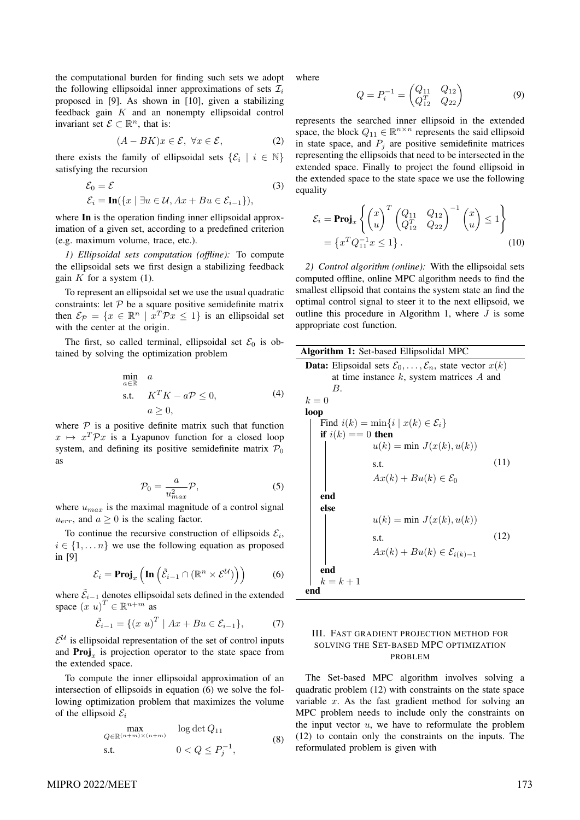the computational burden for finding such sets we adopt the following ellipsoidal inner approximations of sets  $\mathcal{I}_i$ proposed in [9]. As shown in [10], given a stabilizing feedback gain *K* and an nonempty ellipsoidal control invariant set  $\mathcal{E} \subset \mathbb{R}^n$ , that is:

$$
(A - BK)x \in \mathcal{E}, \ \forall x \in \mathcal{E}, \tag{2}
$$

there exists the family of ellipsoidal sets  $\{\mathcal{E}_i \mid i \in \mathbb{N}\}\$ satisfying the recursion

$$
\mathcal{E}_0 = \mathcal{E}
$$
  
\n
$$
\mathcal{E}_i = \text{In}(\{x \mid \exists u \in \mathcal{U}, Ax + Bu \in \mathcal{E}_{i-1}\}),
$$
\n(3)

where In is the operation finding inner ellipsoidal approximation of a given set, according to a predefined criterion (e.g. maximum volume, trace, etc.).

*1) Ellipsoidal sets computation (offline):* To compute the ellipsoidal sets we first design a stabilizing feedback gain  $K$  for a system  $(1)$ .

To represent an ellipsoidal set we use the usual quadratic constraints: let  $P$  be a square positive semidefinite matrix then  $\mathcal{E}_{\mathcal{P}} = \{x \in \mathbb{R}^n \mid x^T \mathcal{P} x \le 1\}$  is an ellipsoidal set with the center at the origin.

The first, so called terminal, ellipsoidal set  $\mathcal{E}_0$  is obtained by solving the optimization problem

$$
\min_{a \in \mathbb{R}} a
$$
\n
$$
\text{s.t.} \quad K^T K - a \mathcal{P} \le 0,
$$
\n
$$
a \ge 0,
$$
\n
$$
(4)
$$

where  $P$  is a positive definite matrix such that function  $x \mapsto x^T \mathcal{P} x$  is a Lyapunov function for a closed loop system, and defining its positive semidefinite matrix  $P_0$ as

$$
\mathcal{P}_0 = \frac{a}{u_{max}^2} \mathcal{P},\tag{5}
$$

where  $u_{max}$  is the maximal magnitude of a control signal  $u_{err}$ , and  $a \geq 0$  is the scaling factor.

To continue the recursive construction of ellipsoids  $\mathcal{E}_i$ ,  $i \in \{1, \ldots n\}$  we use the following equation as proposed in [9]

$$
\mathcal{E}_i = \mathbf{Proj}_x \left( \mathbf{In} \left( \tilde{\mathcal{E}}_{i-1} \cap (\mathbb{R}^n \times \mathcal{E}^{\mathcal{U}}) \right) \right) \tag{6}
$$

where  $\tilde{\mathcal{E}}_{i-1}$  denotes ellipsoidal sets defined in the extended space  $(x, u)^T \in \mathbb{R}^{n+m}$  as

$$
\tilde{\mathcal{E}}_{i-1} = \{ (x \ u)^T \mid Ax + Bu \in \mathcal{E}_{i-1} \},\tag{7}
$$

 $\mathcal{E}^{\mathcal{U}}$  is ellipsoidal representation of the set of control inputs and  $\text{Proj}_x$  is projection operator to the state space from the extended space.

To compute the inner ellipsoidal approximation of an intersection of ellipsoids in equation (6) we solve the following optimization problem that maximizes the volume of the ellipsoid  $\mathcal{E}_i$ 

$$
\max_{Q \in \mathbb{R}^{(n+m)\times(n+m)}} \log \det Q_{11}
$$
\ns.t. 
$$
0 < Q \leq P_j^{-1},\tag{8}
$$

where

$$
Q = P_i^{-1} = \begin{pmatrix} Q_{11} & Q_{12} \\ Q_{12}^T & Q_{22} \end{pmatrix}
$$
 (9)

represents the searched inner ellipsoid in the extended space, the block  $Q_{11} \in \mathbb{R}^{n \times n}$  represents the said ellipsoid in state space, and  $P_j$  are positive semidefinite matrices representing the ellipsoids that need to be intersected in the extended space. Finally to project the found ellipsoid in the extended space to the state space we use the following equality

$$
\mathcal{E}_{i} = \text{Proj}_{x} \left\{ \begin{pmatrix} x \\ u \end{pmatrix}^{T} \begin{pmatrix} Q_{11} & Q_{12} \\ Q_{12}^{T} & Q_{22} \end{pmatrix}^{-1} \begin{pmatrix} x \\ u \end{pmatrix} \le 1 \right\}
$$

$$
= \left\{ x^{T} Q_{11}^{-1} x \le 1 \right\}.
$$
(10)

*2) Control algorithm (online):* With the ellipsoidal sets computed offline, online MPC algorithm needs to find the smallest ellipsoid that contains the system state an find the optimal control signal to steer it to the next ellipsoid, we outline this procedure in Algorithm 1, where *J* is some appropriate cost function.

| Algorithm 1: Set-based Ellipsolidal MPC                                                   |      |  |  |  |
|-------------------------------------------------------------------------------------------|------|--|--|--|
| <b>Data:</b> Elipsoidal sets $\mathcal{E}_0, \ldots, \mathcal{E}_n$ , state vector $x(k)$ |      |  |  |  |
| at time instance $k$ , system matrices $A$ and                                            |      |  |  |  |
| $B_{\cdot}$                                                                               |      |  |  |  |
| $k=0$                                                                                     |      |  |  |  |
| loop                                                                                      |      |  |  |  |
| Find $i(k) = \min\{i \mid x(k) \in \mathcal{E}_i\}$                                       |      |  |  |  |
| if $i(k) == 0$ then                                                                       |      |  |  |  |
| $u(k) = \min J(x(k), u(k))$                                                               |      |  |  |  |
| s.t.                                                                                      | (11) |  |  |  |
| $Ax(k) + Bu(k) \in \mathcal{E}_0$                                                         |      |  |  |  |
| end                                                                                       |      |  |  |  |
| else                                                                                      |      |  |  |  |
| $u(k) = \min J(x(k), u(k))$                                                               |      |  |  |  |
| s.t.                                                                                      | (12) |  |  |  |
| $Ax(k) + Bu(k) \in \mathcal{E}_{i(k)-1}$                                                  |      |  |  |  |
| end                                                                                       |      |  |  |  |
| $k = k + 1$                                                                               |      |  |  |  |
| end                                                                                       |      |  |  |  |

## III. FAST GRADIENT PROJECTION METHOD FOR SOLVING THE SET-BASED MPC OPTIMIZATION PROBLEM

The Set-based MPC algorithm involves solving a quadratic problem (12) with constraints on the state space variable *x*. As the fast gradient method for solving an MPC problem needs to include only the constraints on the input vector *u*, we have to reformulate the problem (12) to contain only the constraints on the inputs. The reformulated problem is given with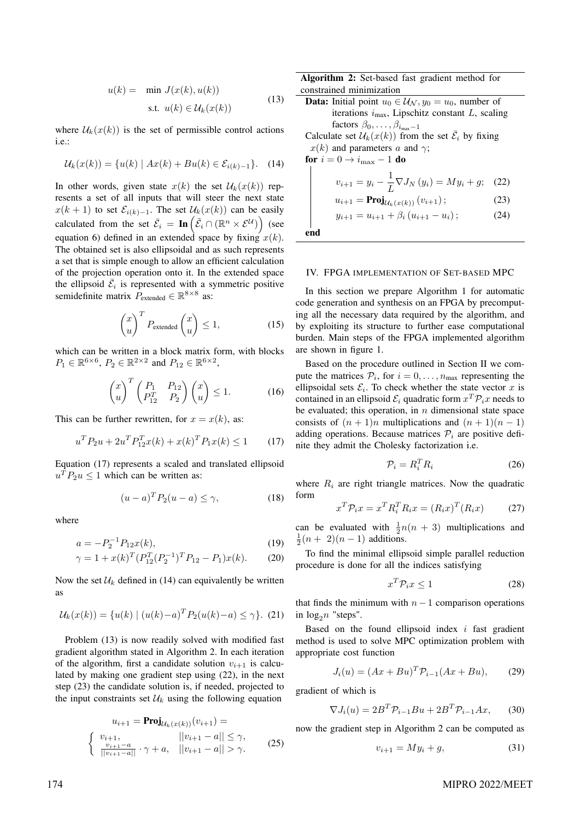$$
u(k) = \min J(x(k), u(k))
$$
  
s.t. 
$$
u(k) \in U_k(x(k))
$$
 (13)

where  $\mathcal{U}_k(x(k))$  is the set of permissible control actions i.e.:

$$
\mathcal{U}_k(x(k)) = \{ u(k) \mid Ax(k) + Bu(k) \in \mathcal{E}_{i(k)-1} \}.
$$
 (14)

In other words, given state  $x(k)$  the set  $\mathcal{U}_k(x(k))$  represents a set of all inputs that will steer the next state *x*(*k* + 1) to set  $\mathcal{E}_{i(k)−1}$ . The set  $\mathcal{U}_k(x(k))$  can be easily calculated from the set  $\bar{\mathcal{E}}_i = \textbf{In}\left(\tilde{\mathcal{E}}_i \cap (\mathbb{R}^n \times \mathcal{E}^{\mathcal{U}})\right)$  (see equation 6) defined in an extended space by fixing  $x(k)$ . The obtained set is also ellipsoidal and as such represents a set that is simple enough to allow an efficient calculation of the projection operation onto it. In the extended space the ellipsoid  $\overline{\mathcal{E}}_i$  is represented with a symmetric positive semidefinite matrix  $P_{\text{extended}} \in \mathbb{R}^{8 \times 8}$  as:

$$
\begin{pmatrix} x \\ u \end{pmatrix}^T P_{\text{extended}} \begin{pmatrix} x \\ u \end{pmatrix} \le 1, \tag{15}
$$

which can be written in a block matrix form, with blocks  $P_1 \in \mathbb{R}^{6 \times 6}$ ,  $P_2 \in \mathbb{R}^{2 \times 2}$  and  $P_{12} \in \mathbb{R}^{6 \times 2}$ ,

$$
\begin{pmatrix} x \\ u \end{pmatrix}^T \begin{pmatrix} P_1 & P_{12} \\ P_{12}^T & P_2 \end{pmatrix} \begin{pmatrix} x \\ u \end{pmatrix} \le 1. \tag{16}
$$

This can be further rewritten, for  $x = x(k)$ , as:

$$
u^T P_2 u + 2u^T P_{12}^T x(k) + x(k)^T P_1 x(k) \le 1 \tag{17}
$$

Equation (17) represents a scaled and translated ellipsoid  $u^T P_2 u \leq 1$  which can be written as:

$$
(u-a)^{T}P_{2}(u-a) \leq \gamma,
$$
\n(18)

where

$$
a = -P_2^{-1}P_{12}x(k),\tag{19}
$$

$$
\gamma = 1 + x(k)^T (P_{12}^T (P_2^{-1})^T P_{12} - P_1) x(k).
$$
 (20)

Now the set  $U_k$  defined in (14) can equivalently be written as

$$
\mathcal{U}_k(x(k)) = \{u(k) \mid (u(k) - a)^T P_2(u(k) - a) \le \gamma\}.
$$
 (21)

Problem (13) is now readily solved with modified fast gradient algorithm stated in Algorithm 2. In each iteration of the algorithm, first a candidate solution  $v_{i+1}$  is calculated by making one gradient step using (22), in the next step (23) the candidate solution is, if needed, projected to the input constraints set  $\mathcal{U}_k$  using the following equation

$$
u_{i+1} = \text{Proj}_{\mathcal{U}_k(x(k))}(v_{i+1}) =
$$
  

$$
\begin{cases} v_{i+1}, & ||v_{i+1} - a|| \le \gamma, \\ \frac{v_{i+1} - a}{||v_{i+1} - a||} \cdot \gamma + a, & ||v_{i+1} - a|| > \gamma. \end{cases}
$$
 (25)

Algorithm 2: Set-based fast gradient method for constrained minimization

**Data:** Initial point 
$$
u_0 \,\in \,\mathcal{U}_N, y_0 = u_0
$$
, number of iterations  $i_{\text{max}}$ , Lipschitz constant  $L$ , scaling factors  $\beta_0, \ldots, \beta_{i_{\text{max}}-1}$   
Calculate set  $\mathcal{U}_k(x(k))$  from the set  $\bar{\mathcal{E}}_i$  by fixing  $x(k)$  and parameters  $a$  and  $\gamma$ ;  
for  $i = 0 \rightarrow i_{\text{max}} - 1$  do  

$$
v_{i+1} = y_i - \frac{1}{L} \nabla J_N(y_i) = My_i + g; \quad (22)
$$

$$
u_{i+1} = \text{Proj}_{\mathcal{U}_k(x(k))}(v_{i+1}); \quad (23)
$$

$$
y_{i+1} = u_{i+1} + \beta_i (u_{i+1} - u_i); \quad (24)
$$
end

#### IV. FPGA IMPLEMENTATION OF SET-BASED MPC

In this section we prepare Algorithm 1 for automatic code generation and synthesis on an FPGA by precomputing all the necessary data required by the algorithm, and by exploiting its structure to further ease computational burden. Main steps of the FPGA implemented algorithm are shown in figure 1.

Based on the procedure outlined in Section II we compute the matrices  $P_i$ , for  $i = 0, \ldots, n_{\text{max}}$  representing the ellipsoidal sets  $\mathcal{E}_i$ . To check whether the state vector  $x$  is contained in an ellipsoid  $\mathcal{E}_i$  quadratic form  $x^T \mathcal{P}_i x$  needs to be evaluated; this operation, in *n* dimensional state space consists of  $(n + 1)n$  multiplications and  $(n + 1)(n - 1)$ adding operations. Because matrices  $P_i$  are positive definite they admit the Cholesky factorization i.e.

$$
\mathcal{P}_i = R_i^T R_i \tag{26}
$$

where  $R_i$  are right triangle matrices. Now the quadratic form

$$
x^T \mathcal{P}_i x = x^T R_i^T R_i x = (R_i x)^T (R_i x) \tag{27}
$$

can be evaluated with  $\frac{1}{2}n(n+3)$  multiplications and  $\frac{1}{2}(n+2)(n-1)$  additions.

To find the minimal ellipsoid simple parallel reduction procedure is done for all the indices satisfying

$$
x^T \mathcal{P}_i x \le 1 \tag{28}
$$

that finds the minimum with  $n-1$  comparison operations in  $log_2 n$  "steps".

Based on the found ellipsoid index *i* fast gradient method is used to solve MPC optimization problem with appropriate cost function

$$
J_i(u) = (Ax + Bu)^T \mathcal{P}_{i-1}(Ax + Bu),
$$
 (29)

gradient of which is

$$
\nabla J_i(u) = 2B^T \mathcal{P}_{i-1} B u + 2B^T \mathcal{P}_{i-1} A x, \qquad (30)
$$

now the gradient step in Algorithm 2 can be computed as

$$
v_{i+1} = My_i + g,\tag{31}
$$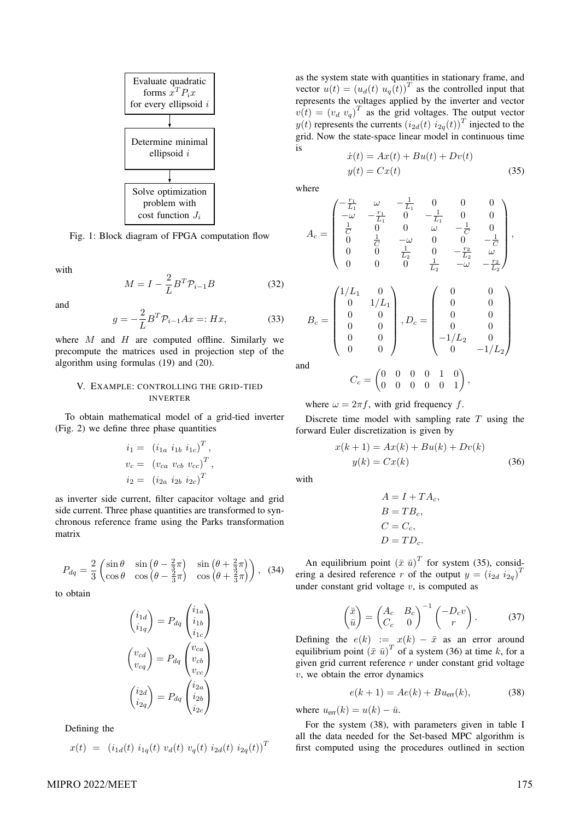

Fig. 1: Block diagram of FPGA computation flow

with

$$
M = I - \frac{2}{L} B^T \mathcal{P}_{i-1} B \tag{32}
$$

and

$$
g = -\frac{2}{L}B^T \mathcal{P}_{i-1} Ax =: Hx,
$$
\n(33)

where *M* and *H* are computed offline. Similarly we precompute the matrices used in projection step of the algorithm using formulas (19) and (20).

# V. EXAMPLE: CONTROLLING THE GRID-TIED INVERTER

To obtain mathematical model of a grid-tied inverter (Fig. 2) we define three phase quantities

$$
\begin{aligned}\ni_1 &= (i_{1a} \ i_{1b} \ i_{1c})^T, \\
v_c &= (v_{ca} \ v_{cb} \ v_{cc})^T, \\
i_2 &= (i_{2a} \ i_{2b} \ i_{2c})^T\n\end{aligned}
$$

as inverter side current, filter capacitor voltage and grid side current. Three phase quantities are transformed to synchronous reference frame using the Parks transformation matrix

$$
P_{dq} = \frac{2}{3} \begin{pmatrix} \sin \theta & \sin \left(\theta - \frac{2}{3}\pi\right) & \sin \left(\theta + \frac{2}{3}\pi\right) \\ \cos \theta & \cos \left(\theta - \frac{2}{3}\pi\right) & \cos \left(\theta + \frac{2}{3}\pi\right) \end{pmatrix}, \tag{34}
$$

to obtain

$$
\begin{pmatrix} i_{1d} \\ i_{1q} \end{pmatrix} = P_{dq} \begin{pmatrix} i_{1a} \\ i_{1b} \\ i_{1c} \end{pmatrix}
$$

$$
\begin{pmatrix} v_{cd} \\ v_{cq} \end{pmatrix} = P_{dq} \begin{pmatrix} v_{ca} \\ v_{cb} \\ v_{cc} \end{pmatrix}
$$

$$
\begin{pmatrix} i_{2d} \\ i_{2q} \end{pmatrix} = P_{dq} \begin{pmatrix} i_{2a} \\ i_{2b} \\ i_{2c} \end{pmatrix}
$$

Defining the

$$
x(t) = (i_{1d}(t) i_{1q}(t) v_d(t) v_q(t) i_{2d}(t) i_{2q}(t))^{T}
$$

as the system state with quantities in stationary frame, and vector  $u(t) = (u_d(t) u_q(t))^T$  as the controlled input that represents the voltages applied by the inverter and vector  $v(t) = (v_d \ v_q)^T$  as the grid voltages. The output vector  $y(t)$  represents the currents  $(i_{2d}(t)$   $i_{2q}(t))$ <sup>T</sup> injected to the grid. Now the state-space linear model in continuous time is

$$
\begin{aligned} \dot{x}(t) &= Ax(t) + Bu(t) + Dv(t) \\ y(t) &= Cx(t) \end{aligned} \tag{35}
$$

where

$$
A_c = \begin{pmatrix} -\frac{r_1}{L_1} & \omega & -\frac{1}{L_1} & 0 & 0 & 0 \\ -\omega & -\frac{r_1}{L_1} & 0 & -\frac{1}{L_1} & 0 & 0 \\ \frac{1}{C} & 0 & 0 & \omega & -\frac{1}{C} & 0 \\ 0 & \frac{1}{C} & -\omega & 0 & 0 & -\frac{1}{C} \\ 0 & 0 & \frac{1}{L_2} & 0 & -\frac{r_2}{L_2} & \omega \\ 0 & 0 & 0 & \frac{1}{L_2} & -\omega & -\frac{r_2}{L_2} \end{pmatrix},
$$

$$
B_c = \begin{pmatrix} 1/L_1 & 0 \\ 0 & 1/L_1 \\ 0 & 0 \\ 0 & 0 \\ 0 & 0 \\ 0 & 0 \end{pmatrix}, D_c = \begin{pmatrix} 0 & 0 & 0 \\ 0 & 0 & 0 \\ 0 & 0 & 0 \\ 0 & 0 & -1/L_2 \\ 0 & -1/L_2 & 0 \\ 0 & -1/L_2 \end{pmatrix}
$$

and

$$
C_c = \begin{pmatrix} 0 & 0 & 0 & 0 & 1 & 0 \\ 0 & 0 & 0 & 0 & 0 & 1 \end{pmatrix},
$$

where  $\omega = 2\pi f$ , with grid frequency f.

Discrete time model with sampling rate *T* using the forward Euler discretization is given by

$$
x(k+1) = Ax(k) + Bu(k) + Dv(k)
$$
  

$$
y(k) = Cx(k)
$$
 (36)

with

$$
A = I + TA_c,
$$
  
\n
$$
B = TB_c,
$$
  
\n
$$
C = C_c,
$$
  
\n
$$
D = TD_c.
$$

An equilibrium point  $(\bar{x} \bar{u})^T$  for system (35), considering a desired reference *r* of the output  $y = (i_{2d} i_{2q})^T$ under constant grid voltage *v*, is computed as

$$
\begin{pmatrix} \bar{x} \\ \bar{u} \end{pmatrix} = \begin{pmatrix} A_c & B_c \\ C_c & 0 \end{pmatrix}^{-1} \begin{pmatrix} -D_c v \\ r \end{pmatrix}.
$$
 (37)

Defining the  $e(k) := x(k) - \bar{x}$  as an error around equilibrium point  $(\bar{x} \bar{u})^T$  of a system (36) at time *k*, for a given grid current reference *r* under constant grid voltage *v*, we obtain the error dynamics

$$
e(k+1) = Ae(k) + Bu_{\text{err}}(k),\tag{38}
$$

where  $u_{\text{err}}(k) = u(k) - \bar{u}$ .

For the system (38), with parameters given in table I all the data needed for the Set-based MPC algorithm is first computed using the procedures outlined in section

# MIPRO 2022/MEET 175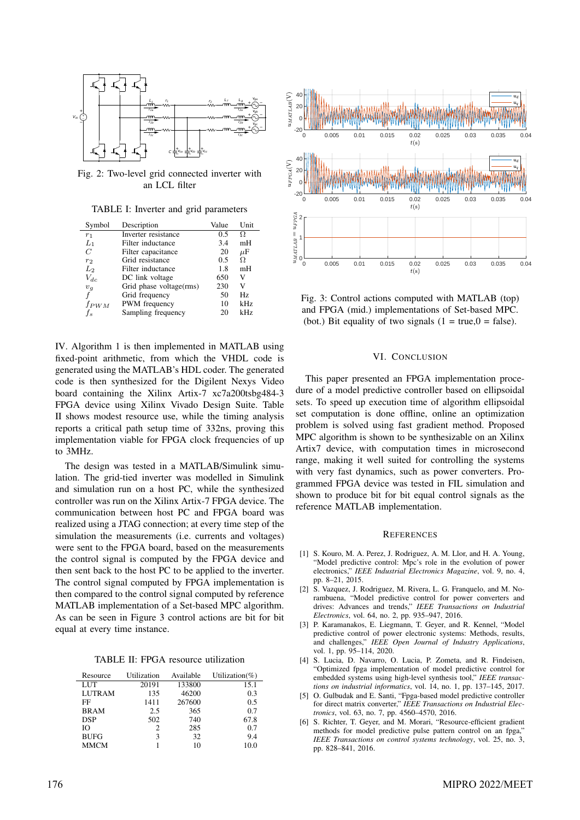

Fig. 2: Two-level grid connected inverter with an LCL filter

TABLE I: Inverter and grid parameters

| Symbol         | Description             | Value | Unit    |
|----------------|-------------------------|-------|---------|
| $r_1$          | Inverter resistance     | 0.5   | Ω       |
| $L_1$          | Filter inductance       | 3.4   | mH      |
| C              | Filter capacitance      | 20    | $\mu$ F |
| $r_2$          | Grid resistance         | 0.5   | Ω       |
| L <sub>2</sub> | Filter inductance       | 1.8   | mH      |
| $V_{dc}$       | DC link voltage         | 650   | V       |
| $v_g$          | Grid phase voltage(rms) | 230   | v       |
| f              | Grid frequency          | 50    | Hz.     |
| $f_{PWM}$      | PWM frequency           | 10    | kHz     |
| Ť.s            | Sampling frequency      | 20    | kHz     |

IV. Algorithm 1 is then implemented in MATLAB using fixed-point arithmetic, from which the VHDL code is generated using the MATLAB's HDL coder. The generated code is then synthesized for the Digilent Nexys Video board containing the Xilinx Artix-7 xc7a200tsbg484-3 FPGA device using Xilinx Vivado Design Suite. Table II shows modest resource use, while the timing analysis reports a critical path setup time of 332ns, proving this implementation viable for FPGA clock frequencies of up to 3MHz.

The design was tested in a MATLAB/Simulink simulation. The grid-tied inverter was modelled in Simulink and simulation run on a host PC, while the synthesized controller was run on the Xilinx Artix-7 FPGA device. The communication between host PC and FPGA board was realized using a JTAG connection; at every time step of the simulation the measurements (i.e. currents and voltages) were sent to the FPGA board, based on the measurements the control signal is computed by the FPGA device and then sent back to the host PC to be applied to the inverter. The control signal computed by FPGA implementation is then compared to the control signal computed by reference MATLAB implementation of a Set-based MPC algorithm. As can be seen in Figure 3 control actions are bit for bit equal at every time instance.

TABLE II: FPGA resource utilization

| Resource      | Utilization | Available | Utilization(%) |
|---------------|-------------|-----------|----------------|
| LUT           | 20191       | 133800    | 15.1           |
| <b>LUTRAM</b> | 135         | 46200     | 0.3            |
| FF            | 1411        | 267600    | 0.5            |
| <b>BRAM</b>   | 2.5         | 365       | 0.7            |
| <b>DSP</b>    | 502         | 740       | 67.8           |
| Ю             | 2           | 285       | 0.7            |
| <b>BUFG</b>   | 3           | 32        | 9.4            |
| <b>MMCM</b>   |             | 10        | 10.0           |



Fig. 3: Control actions computed with MATLAB (top) and FPGA (mid.) implementations of Set-based MPC. (bot.) Bit equality of two signals  $(1 = true, 0 = false)$ .

### VI. CONCLUSION

This paper presented an FPGA implementation procedure of a model predictive controller based on ellipsoidal sets. To speed up execution time of algorithm ellipsoidal set computation is done offline, online an optimization problem is solved using fast gradient method. Proposed MPC algorithm is shown to be synthesizable on an Xilinx Artix7 device, with computation times in microsecond range, making it well suited for controlling the systems with very fast dynamics, such as power converters. Programmed FPGA device was tested in FIL simulation and shown to produce bit for bit equal control signals as the reference MATLAB implementation.

#### **REFERENCES**

- [1] S. Kouro, M. A. Perez, J. Rodriguez, A. M. Llor, and H. A. Young, "Model predictive control: Mpc's role in the evolution of power electronics," *IEEE Industrial Electronics Magazine*, vol. 9, no. 4, pp. 8–21, 2015.
- [2] S. Vazquez, J. Rodriguez, M. Rivera, L. G. Franquelo, and M. Norambuena, "Model predictive control for power converters and drives: Advances and trends," *IEEE Transactions on Industrial Electronics*, vol. 64, no. 2, pp. 935–947, 2016.
- [3] P. Karamanakos, E. Liegmann, T. Geyer, and R. Kennel, "Model predictive control of power electronic systems: Methods, results, and challenges," *IEEE Open Journal of Industry Applications*, vol. 1, pp. 95–114, 2020.
- [4] S. Lucia, D. Navarro, O. Lucia, P. Zometa, and R. Findeisen, "Optimized fpga implementation of model predictive control for embedded systems using high-level synthesis tool," *IEEE transactions on industrial informatics*, vol. 14, no. 1, pp. 137–145, 2017.
- [5] O. Gulbudak and E. Santi, "Fpga-based model predictive controller for direct matrix converter," *IEEE Transactions on Industrial Electronics*, vol. 63, no. 7, pp. 4560–4570, 2016.
- [6] S. Richter, T. Geyer, and M. Morari, "Resource-efficient gradient methods for model predictive pulse pattern control on an fpga," *IEEE Transactions on control systems technology*, vol. 25, no. 3, pp. 828–841, 2016.